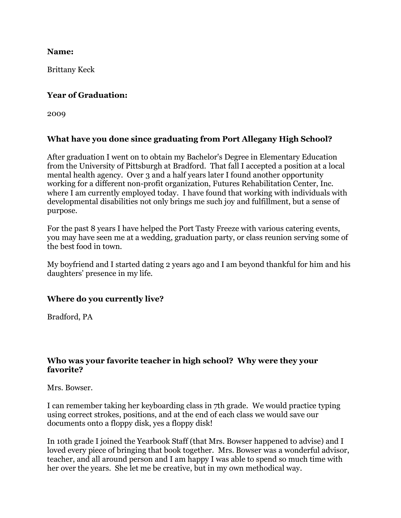**Name:**

Brittany Keck

### **Year of Graduation:**

2009

## **What have you done since graduating from Port Allegany High School?**

After graduation I went on to obtain my Bachelor's Degree in Elementary Education from the University of Pittsburgh at Bradford. That fall I accepted a position at a local mental health agency. Over 3 and a half years later I found another opportunity working for a different non-profit organization, Futures Rehabilitation Center, Inc. where I am currently employed today. I have found that working with individuals with developmental disabilities not only brings me such joy and fulfillment, but a sense of purpose.

For the past 8 years I have helped the Port Tasty Freeze with various catering events, you may have seen me at a wedding, graduation party, or class reunion serving some of the best food in town.

My boyfriend and I started dating 2 years ago and I am beyond thankful for him and his daughters' presence in my life.

# **Where do you currently live?**

Bradford, PA

### **Who was your favorite teacher in high school? Why were they your favorite?**

Mrs. Bowser.

I can remember taking her keyboarding class in 7th grade. We would practice typing using correct strokes, positions, and at the end of each class we would save our documents onto a floppy disk, yes a floppy disk!

In 10th grade I joined the Yearbook Staff (that Mrs. Bowser happened to advise) and I loved every piece of bringing that book together. Mrs. Bowser was a wonderful advisor, teacher, and all around person and I am happy I was able to spend so much time with her over the years. She let me be creative, but in my own methodical way.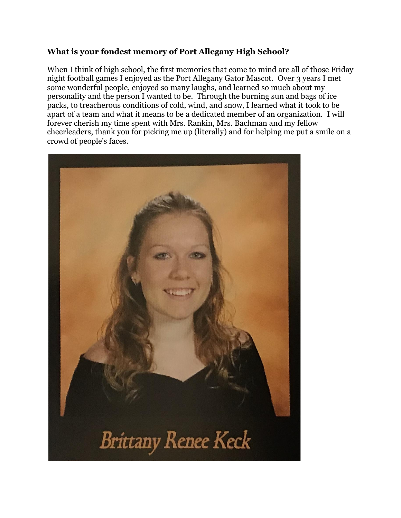### **What is your fondest memory of Port Allegany High School?**

When I think of high school, the first memories that come to mind are all of those Friday night football games I enjoyed as the Port Allegany Gator Mascot. Over 3 years I met some wonderful people, enjoyed so many laughs, and learned so much about my personality and the person I wanted to be. Through the burning sun and bags of ice packs, to treacherous conditions of cold, wind, and snow, I learned what it took to be apart of a team and what it means to be a dedicated member of an organization. I will forever cherish my time spent with Mrs. Rankin, Mrs. Bachman and my fellow cheerleaders, thank you for picking me up (literally) and for helping me put a smile on a crowd of people's faces.